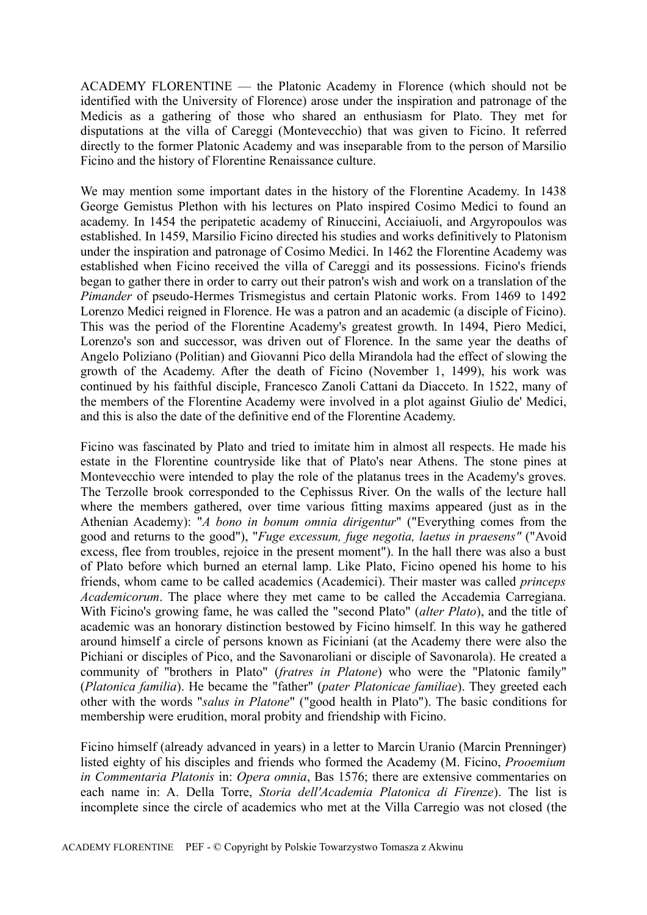ACADEMY FLORENTINE — the Platonic Academy in Florence (which should not be identified with the University of Florence) arose under the inspiration and patronage of the Medicis as a gathering of those who shared an enthusiasm for Plato. They met for disputations at the villa of Careggi (Montevecchio) that was given to Ficino. It referred directly to the former Platonic Academy and was inseparable from to the person of Marsilio Ficino and the history of Florentine Renaissance culture.

We may mention some important dates in the history of the Florentine Academy. In 1438 George Gemistus Plethon with his lectures on Plato inspired Cosimo Medici to found an academy. In 1454 the peripatetic academy of Rinuccini, Acciaiuoli, and Argyropoulos was established. In 1459, Marsilio Ficino directed his studies and works definitively to Platonism under the inspiration and patronage of Cosimo Medici. In 1462 the Florentine Academy was established when Ficino received the villa of Careggi and its possessions. Ficino's friends began to gather there in order to carry out their patron's wish and work on a translation of the *Pimander* of pseudo-Hermes Trismegistus and certain Platonic works. From 1469 to 1492 Lorenzo Medici reigned in Florence. He was a patron and an academic (a disciple of Ficino). This was the period of the Florentine Academy's greatest growth. In 1494, Piero Medici, Lorenzo's son and successor, was driven out of Florence. In the same year the deaths of Angelo Poliziano (Politian) and Giovanni Pico della Mirandola had the effect of slowing the growth of the Academy. After the death of Ficino (November 1, 1499), his work was continued by his faithful disciple, Francesco Zanoli Cattani da Diacceto. In 1522, many of the members of the Florentine Academy were involved in a plot against Giulio de' Medici, and this is also the date of the definitive end of the Florentine Academy.

Ficino was fascinated by Plato and tried to imitate him in almost all respects. He made his estate in the Florentine countryside like that of Plato's near Athens. The stone pines at Montevecchio were intended to play the role of the platanus trees in the Academy's groves. The Terzolle brook corresponded to the Cephissus River. On the walls of the lecture hall where the members gathered, over time various fitting maxims appeared (just as in the Athenian Academy): "*A bono in bonum omnia dirigentur*" ("Everything comes from the good and returns to the good"), "*Fuge excessum, fuge negotia, laetus in praesens"* ("Avoid excess, flee from troubles, rejoice in the present moment"). In the hall there was also a bust of Plato before which burned an eternal lamp. Like Plato, Ficino opened his home to his friends, whom came to be called academics (Academici). Their master was called *princeps Academicorum*. The place where they met came to be called the Accademia Carregiana. With Ficino's growing fame, he was called the "second Plato" (*alter Plato*), and the title of academic was an honorary distinction bestowed by Ficino himself. In this way he gathered around himself a circle of persons known as Ficiniani (at the Academy there were also the Pichiani or disciples of Pico, and the Savonaroliani or disciple of Savonarola). He created a community of "brothers in Plato" (*fratres in Platone*) who were the "Platonic family" (*Platonica familia*). He became the "father" (*pater Platonicae familiae*). They greeted each other with the words "*salus in Platone*" ("good health in Plato"). The basic conditions for membership were erudition, moral probity and friendship with Ficino.

Ficino himself (already advanced in years) in a letter to Marcin Uranio (Marcin Prenninger) listed eighty of his disciples and friends who formed the Academy (M. Ficino, *Prooemium in Commentaria Platonis* in: *Opera omnia*, Bas 1576; there are extensive commentaries on each name in: A. Della Torre, *Storia dell'Academia Platonica di Firenze*). The list is incomplete since the circle of academics who met at the Villa Carregio was not closed (the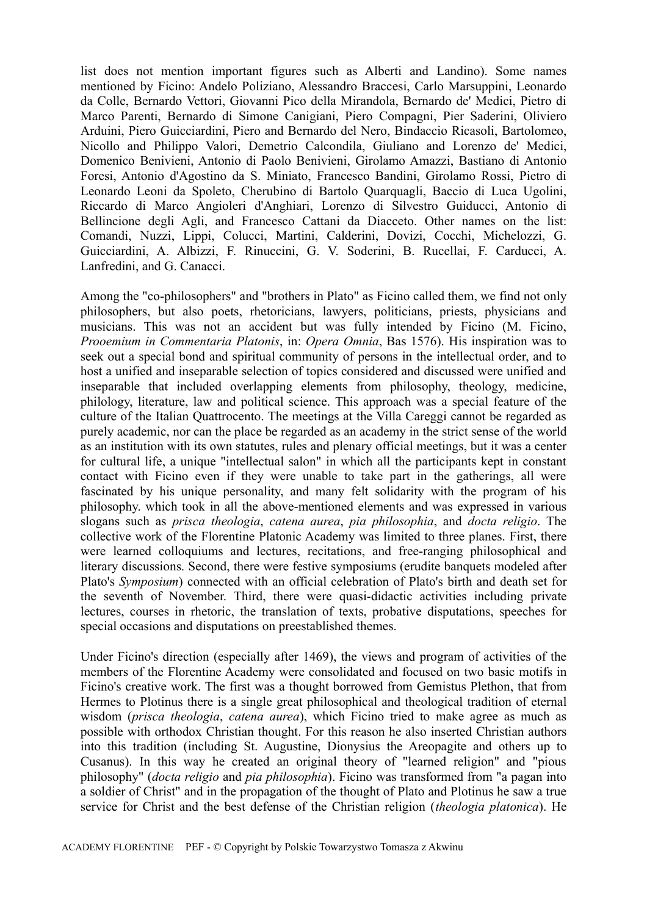list does not mention important figures such as Alberti and Landino). Some names mentioned by Ficino: Andelo Poliziano, Alessandro Braccesi, Carlo Marsuppini, Leonardo da Colle, Bernardo Vettori, Giovanni Pico della Mirandola, Bernardo de' Medici, Pietro di Marco Parenti, Bernardo di Simone Canigiani, Piero Compagni, Pier Saderini, Oliviero Arduini, Piero Guicciardini, Piero and Bernardo del Nero, Bindaccio Ricasoli, Bartolomeo, Nicollo and Philippo Valori, Demetrio Calcondila, Giuliano and Lorenzo de' Medici, Domenico Benivieni, Antonio di Paolo Benivieni, Girolamo Amazzi, Bastiano di Antonio Foresi, Antonio d'Agostino da S. Miniato, Francesco Bandini, Girolamo Rossi, Pietro di Leonardo Leoni da Spoleto, Cherubino di Bartolo Quarquagli, Baccio di Luca Ugolini, Riccardo di Marco Angioleri d'Anghiari, Lorenzo di Silvestro Guiducci, Antonio di Bellincione degli Agli, and Francesco Cattani da Diacceto. Other names on the list: Comandi, Nuzzi, Lippi, Colucci, Martini, Calderini, Dovizi, Cocchi, Michelozzi, G. Guicciardini, A. Albizzi, F. Rinuccini, G. V. Soderini, B. Rucellai, F. Carducci, A. Lanfredini, and G. Canacci.

Among the "co-philosophers" and "brothers in Plato" as Ficino called them, we find not only philosophers, but also poets, rhetoricians, lawyers, politicians, priests, physicians and musicians. This was not an accident but was fully intended by Ficino (M. Ficino, *Prooemium in Commentaria Platonis*, in: *Opera Omnia*, Bas 1576). His inspiration was to seek out a special bond and spiritual community of persons in the intellectual order, and to host a unified and inseparable selection of topics considered and discussed were unified and inseparable that included overlapping elements from philosophy, theology, medicine, philology, literature, law and political science. This approach was a special feature of the culture of the Italian Quattrocento. The meetings at the Villa Careggi cannot be regarded as purely academic, nor can the place be regarded as an academy in the strict sense of the world as an institution with its own statutes, rules and plenary official meetings, but it was a center for cultural life, a unique "intellectual salon" in which all the participants kept in constant contact with Ficino even if they were unable to take part in the gatherings, all were fascinated by his unique personality, and many felt solidarity with the program of his philosophy. which took in all the above-mentioned elements and was expressed in various slogans such as *prisca theologia*, *catena aurea*, *pia philosophia*, and *docta religio*. The collective work of the Florentine Platonic Academy was limited to three planes. First, there were learned colloquiums and lectures, recitations, and free-ranging philosophical and literary discussions. Second, there were festive symposiums (erudite banquets modeled after Plato's *Symposium*) connected with an official celebration of Plato's birth and death set for the seventh of November. Third, there were quasi-didactic activities including private lectures, courses in rhetoric, the translation of texts, probative disputations, speeches for special occasions and disputations on preestablished themes.

Under Ficino's direction (especially after 1469), the views and program of activities of the members of the Florentine Academy were consolidated and focused on two basic motifs in Ficino's creative work. The first was a thought borrowed from Gemistus Plethon, that from Hermes to Plotinus there is a single great philosophical and theological tradition of eternal wisdom (*prisca theologia*, *catena aurea*), which Ficino tried to make agree as much as possible with orthodox Christian thought. For this reason he also inserted Christian authors into this tradition (including St. Augustine, Dionysius the Areopagite and others up to Cusanus). In this way he created an original theory of "learned religion" and "pious philosophy" (*docta religio* and *pia philosophia*). Ficino was transformed from "a pagan into a soldier of Christ" and in the propagation of the thought of Plato and Plotinus he saw a true service for Christ and the best defense of the Christian religion (*theologia platonica*). He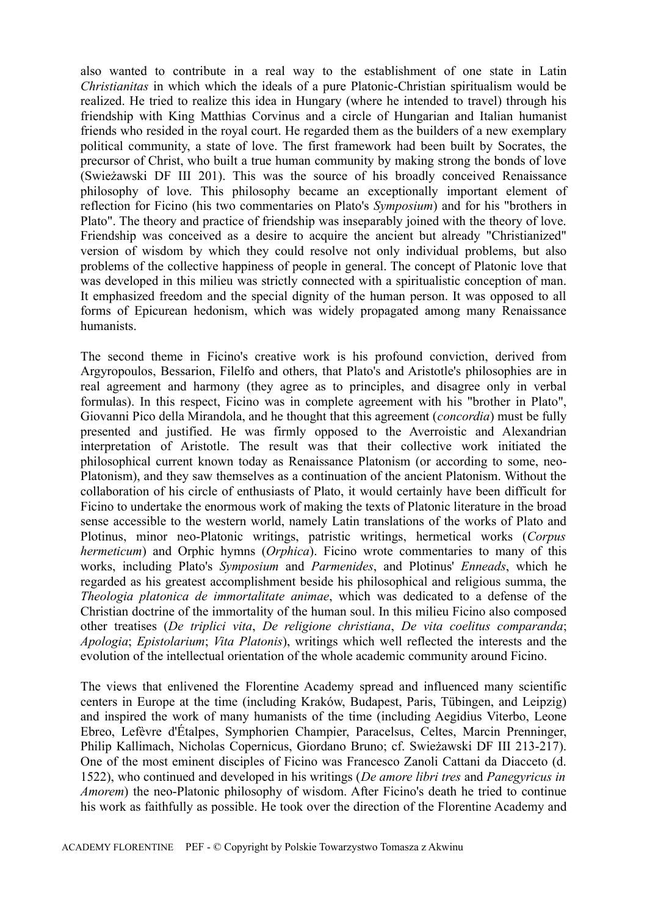also wanted to contribute in a real way to the establishment of one state in Latin *Christianitas* in which which the ideals of a pure Platonic-Christian spiritualism would be realized. He tried to realize this idea in Hungary (where he intended to travel) through his friendship with King Matthias Corvinus and a circle of Hungarian and Italian humanist friends who resided in the royal court. He regarded them as the builders of a new exemplary political community, a state of love. The first framework had been built by Socrates, the precursor of Christ, who built a true human community by making strong the bonds of love (Swieżawski DF III 201). This was the source of his broadly conceived Renaissance philosophy of love. This philosophy became an exceptionally important element of reflection for Ficino (his two commentaries on Plato's *Symposium*) and for his "brothers in Plato". The theory and practice of friendship was inseparably joined with the theory of love. Friendship was conceived as a desire to acquire the ancient but already "Christianized" version of wisdom by which they could resolve not only individual problems, but also problems of the collective happiness of people in general. The concept of Platonic love that was developed in this milieu was strictly connected with a spiritualistic conception of man. It emphasized freedom and the special dignity of the human person. It was opposed to all forms of Epicurean hedonism, which was widely propagated among many Renaissance humanists.

The second theme in Ficino's creative work is his profound conviction, derived from Argyropoulos, Bessarion, Filelfo and others, that Plato's and Aristotle's philosophies are in real agreement and harmony (they agree as to principles, and disagree only in verbal formulas). In this respect, Ficino was in complete agreement with his "brother in Plato", Giovanni Pico della Mirandola, and he thought that this agreement (*concordia*) must be fully presented and justified. He was firmly opposed to the Averroistic and Alexandrian interpretation of Aristotle. The result was that their collective work initiated the philosophical current known today as Renaissance Platonism (or according to some, neo-Platonism), and they saw themselves as a continuation of the ancient Platonism. Without the collaboration of his circle of enthusiasts of Plato, it would certainly have been difficult for Ficino to undertake the enormous work of making the texts of Platonic literature in the broad sense accessible to the western world, namely Latin translations of the works of Plato and Plotinus, minor neo-Platonic writings, patristic writings, hermetical works (*Corpus hermeticum*) and Orphic hymns (*Orphica*). Ficino wrote commentaries to many of this works, including Plato's *Symposium* and *Parmenides*, and Plotinus' *Enneads*, which he regarded as his greatest accomplishment beside his philosophical and religious summa, the *Theologia platonica de immortalitate animae*, which was dedicated to a defense of the Christian doctrine of the immortality of the human soul. In this milieu Ficino also composed other treatises (*De triplici vita*, *De religione christiana*, *De vita coelitus comparanda*; *Apologia*; *Epistolarium*; *Vita Platonis*), writings which well reflected the interests and the evolution of the intellectual orientation of the whole academic community around Ficino.

The views that enlivened the Florentine Academy spread and influenced many scientific centers in Europe at the time (including Kraków, Budapest, Paris, Tübingen, and Leipzig) and inspired the work of many humanists of the time (including Aegidius Viterbo, Leone Ebreo, Lefèvre d'Étalpes, Symphorien Champier, Paracelsus, Celtes, Marcin Prenninger, Philip Kallimach, Nicholas Copernicus, Giordano Bruno; cf. Swieżawski DF III 213-217). One of the most eminent disciples of Ficino was Francesco Zanoli Cattani da Diacceto (d. 1522), who continued and developed in his writings (*De amore libri tres* and *Panegyricus in Amorem*) the neo-Platonic philosophy of wisdom. After Ficino's death he tried to continue his work as faithfully as possible. He took over the direction of the Florentine Academy and